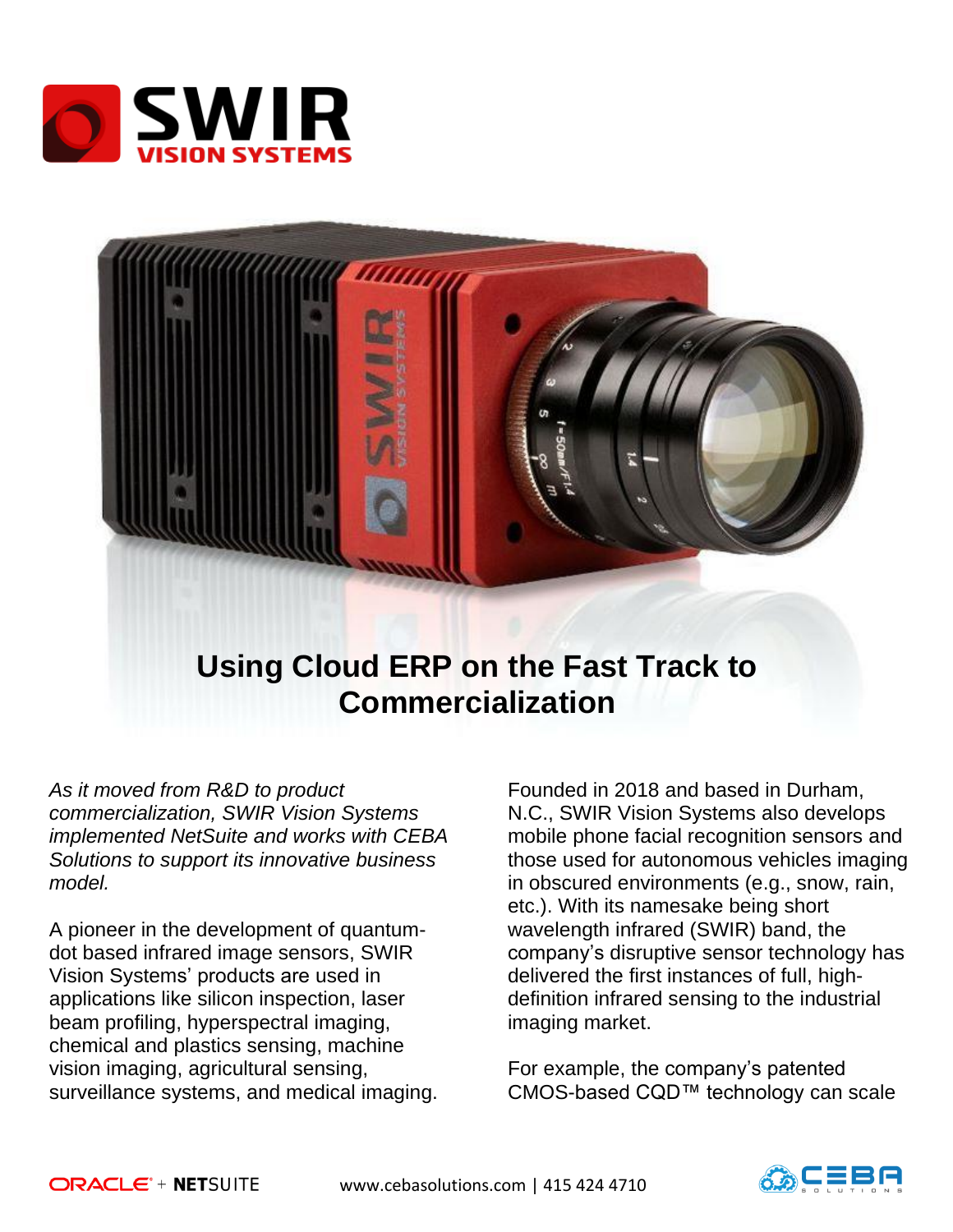



# **Using Cloud ERP on the Fast Track to Commercialization**

*As it moved from R&D to product commercialization, SWIR Vision Systems implemented NetSuite and works with CEBA Solutions to support its innovative business model.* 

A pioneer in the development of quantumdot based infrared image sensors, SWIR Vision Systems' products are used in applications like silicon inspection, laser beam profiling, hyperspectral imaging, chemical and plastics sensing, machine vision imaging, agricultural sensing, surveillance systems, and medical imaging.

Founded in 2018 and based in Durham, N.C., SWIR Vision Systems also develops mobile phone facial recognition sensors and those used for autonomous vehicles imaging in obscured environments (e.g., snow, rain, etc.). With its namesake being short wavelength infrared (SWIR) band, the company's disruptive sensor technology has delivered the first instances of full, highdefinition infrared sensing to the industrial imaging market.

For example, the company's patented CMOS-based CQD™ technology can scale

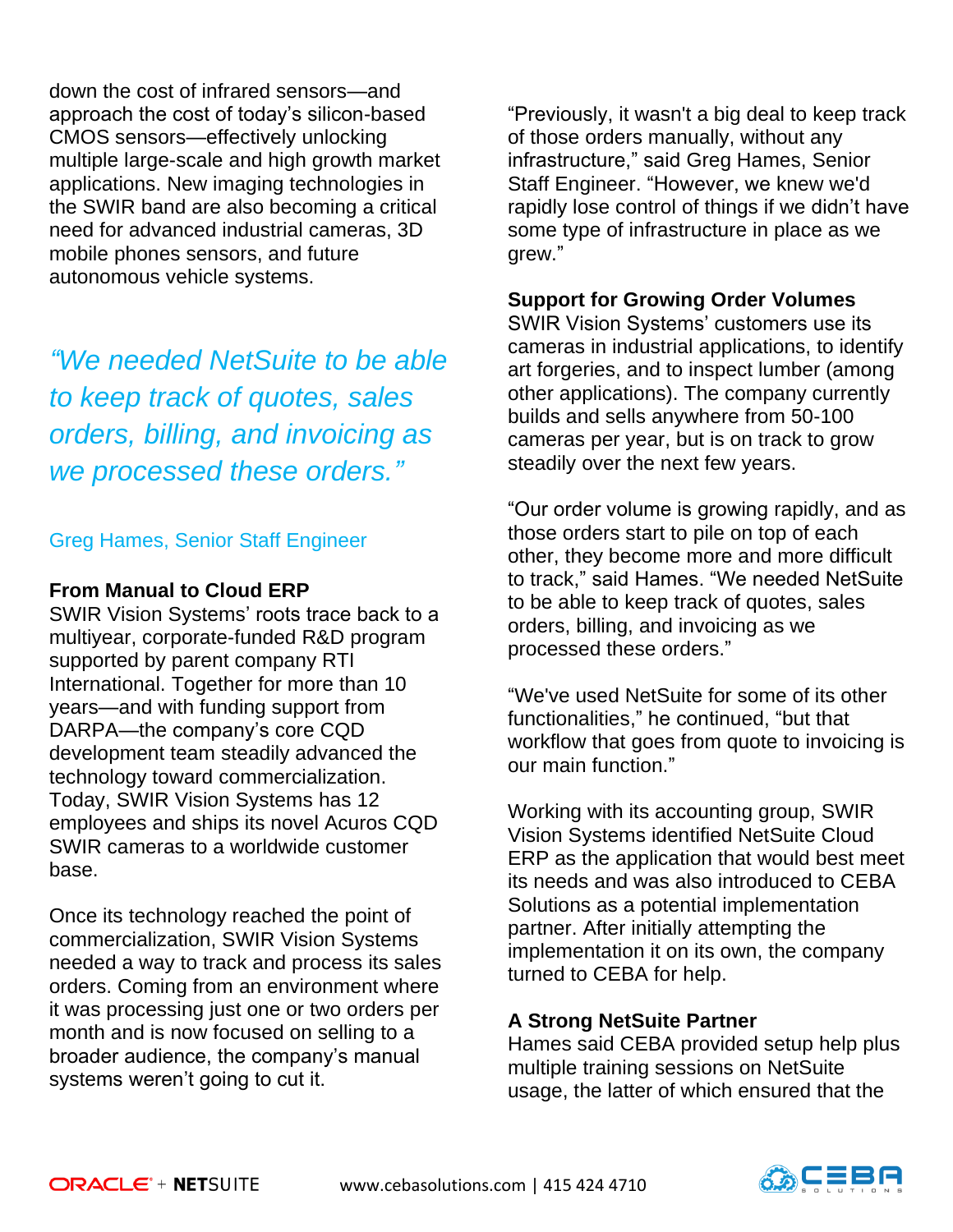down the cost of infrared sensors—and approach the cost of today's silicon-based CMOS sensors—effectively unlocking multiple large-scale and high growth market applications. New imaging technologies in the SWIR band are also becoming a critical need for advanced industrial cameras, 3D mobile phones sensors, and future autonomous vehicle systems.

*"We needed NetSuite to be able to keep track of quotes, sales orders, billing, and invoicing as we processed these orders."*

## Greg Hames, Senior Staff Engineer

### **From Manual to Cloud ERP**

SWIR Vision Systems' roots trace back to a multiyear, corporate-funded R&D program supported by parent company RTI International. Together for more than 10 years—and with funding support from DARPA—the company's core CQD development team steadily advanced the technology toward commercialization. Today, SWIR Vision Systems has 12 employees and ships its novel Acuros CQD SWIR cameras to a worldwide customer base.

Once its technology reached the point of commercialization, SWIR Vision Systems needed a way to track and process its sales orders. Coming from an environment where it was processing just one or two orders per month and is now focused on selling to a broader audience, the company's manual systems weren't going to cut it.

"Previously, it wasn't a big deal to keep track of those orders manually, without any infrastructure," said Greg Hames, Senior Staff Engineer. "However, we knew we'd rapidly lose control of things if we didn't have some type of infrastructure in place as we grew."

## **Support for Growing Order Volumes**

SWIR Vision Systems' customers use its cameras in industrial applications, to identify art forgeries, and to inspect lumber (among other applications). The company currently builds and sells anywhere from 50-100 cameras per year, but is on track to grow steadily over the next few years.

"Our order volume is growing rapidly, and as those orders start to pile on top of each other, they become more and more difficult to track," said Hames. "We needed NetSuite to be able to keep track of quotes, sales orders, billing, and invoicing as we processed these orders."

"We've used NetSuite for some of its other functionalities," he continued, "but that workflow that goes from quote to invoicing is our main function."

Working with its accounting group, SWIR Vision Systems identified NetSuite Cloud ERP as the application that would best meet its needs and was also introduced to CEBA Solutions as a potential implementation partner. After initially attempting the implementation it on its own, the company turned to CEBA for help.

### **A Strong NetSuite Partner**

Hames said CEBA provided setup help plus multiple training sessions on NetSuite usage, the latter of which ensured that the